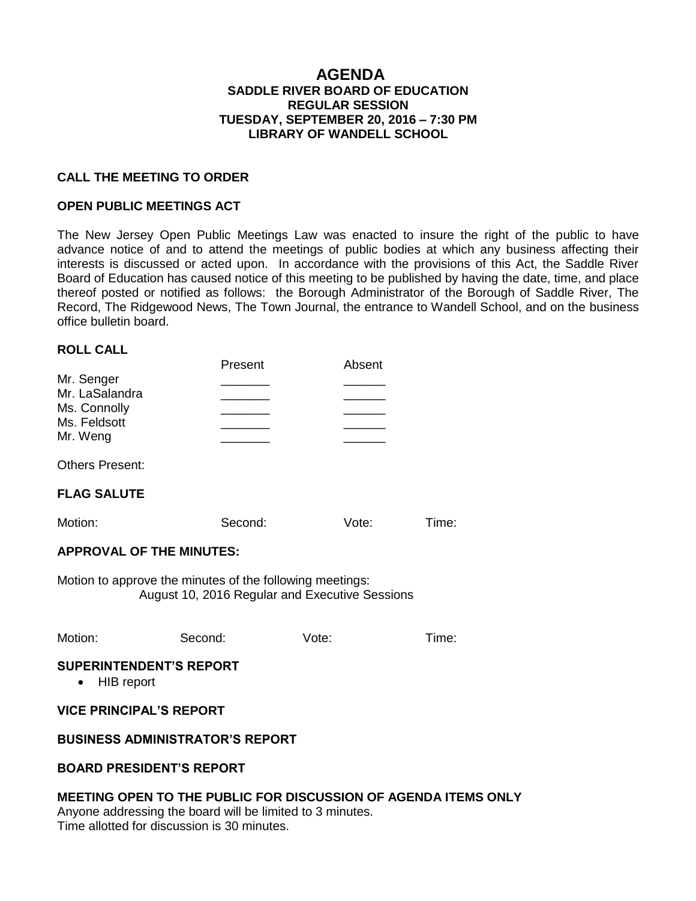### **AGENDA SADDLE RIVER BOARD OF EDUCATION REGULAR SESSION TUESDAY, SEPTEMBER 20, 2016 – 7:30 PM LIBRARY OF WANDELL SCHOOL**

#### **CALL THE MEETING TO ORDER**

#### **OPEN PUBLIC MEETINGS ACT**

The New Jersey Open Public Meetings Law was enacted to insure the right of the public to have advance notice of and to attend the meetings of public bodies at which any business affecting their interests is discussed or acted upon. In accordance with the provisions of this Act, the Saddle River Board of Education has caused notice of this meeting to be published by having the date, time, and place thereof posted or notified as follows: the Borough Administrator of the Borough of Saddle River, The Record, The Ridgewood News, The Town Journal, the entrance to Wandell School, and on the business office bulletin board.

#### **ROLL CALL**

| Present | Absent |
|---------|--------|
|         |        |
|         |        |
|         |        |
|         |        |
|         |        |
|         |        |

Others Present:

# **FLAG SALUTE**

| Motion: | Second: | Vote: | Time: |
|---------|---------|-------|-------|
|---------|---------|-------|-------|

#### **APPROVAL OF THE MINUTES:**

Motion to approve the minutes of the following meetings: August 10, 2016 Regular and Executive Sessions

| Motion: | Second: | Vote: | Time: |
|---------|---------|-------|-------|
|         |         |       |       |

#### **SUPERINTENDENT'S REPORT**

• HIB report

#### **VICE PRINCIPAL'S REPORT**

#### **BUSINESS ADMINISTRATOR'S REPORT**

#### **BOARD PRESIDENT'S REPORT**

#### **MEETING OPEN TO THE PUBLIC FOR DISCUSSION OF AGENDA ITEMS ONLY**

Anyone addressing the board will be limited to 3 minutes. Time allotted for discussion is 30 minutes.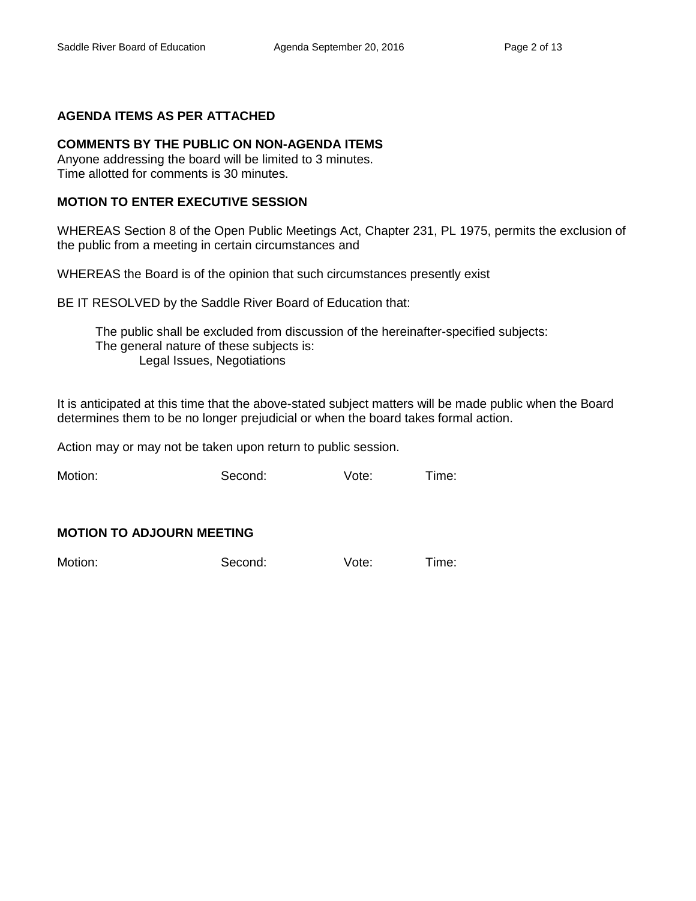### **AGENDA ITEMS AS PER ATTACHED**

# **COMMENTS BY THE PUBLIC ON NON-AGENDA ITEMS**

Anyone addressing the board will be limited to 3 minutes. Time allotted for comments is 30 minutes.

#### **MOTION TO ENTER EXECUTIVE SESSION**

WHEREAS Section 8 of the Open Public Meetings Act, Chapter 231, PL 1975, permits the exclusion of the public from a meeting in certain circumstances and

WHEREAS the Board is of the opinion that such circumstances presently exist

BE IT RESOLVED by the Saddle River Board of Education that:

 The public shall be excluded from discussion of the hereinafter-specified subjects: The general nature of these subjects is: Legal Issues, Negotiations

It is anticipated at this time that the above-stated subject matters will be made public when the Board determines them to be no longer prejudicial or when the board takes formal action.

Action may or may not be taken upon return to public session.

Motion: Second: Vote: Time:

# **MOTION TO ADJOURN MEETING**

Motion: Second: Vote: Time: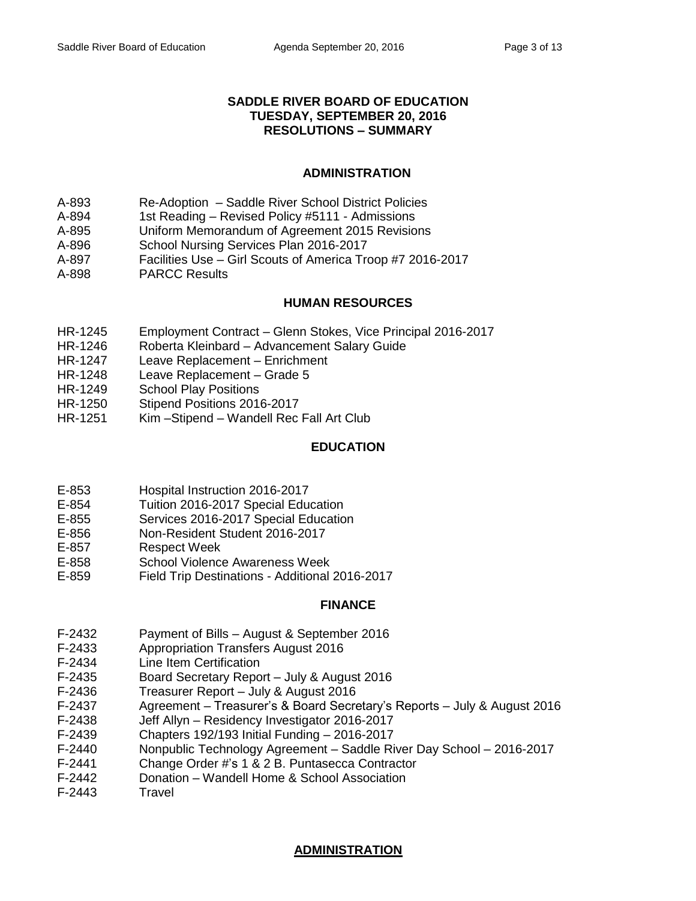### **SADDLE RIVER BOARD OF EDUCATION TUESDAY, SEPTEMBER 20, 2016 RESOLUTIONS – SUMMARY**

# **ADMINISTRATION**

- A-893 Re-Adoption Saddle River School District Policies
- A-894 1st Reading Revised Policy #5111 Admissions
- A-895 Uniform Memorandum of Agreement 2015 Revisions
- A-896 School Nursing Services Plan 2016-2017
- A-897 Facilities Use Girl Scouts of America Troop #7 2016-2017
- A-898 PARCC Results

# **HUMAN RESOURCES**

- HR-1245 Employment Contract Glenn Stokes, Vice Principal 2016-2017
- HR-1246 Roberta Kleinbard Advancement Salary Guide
- HR-1247 Leave Replacement Enrichment
- HR-1248 Leave Replacement Grade 5
- HR-1249 School Play Positions
- HR-1250 Stipend Positions 2016-2017
- HR-1251 Kim –Stipend Wandell Rec Fall Art Club

# **EDUCATION**

- E-853 Hospital Instruction 2016-2017
- E-854 Tuition 2016-2017 Special Education
- E-855 Services 2016-2017 Special Education
- E-856 Non-Resident Student 2016-2017
- E-857 Respect Week
- E-858 School Violence Awareness Week
- E-859 Field Trip Destinations Additional 2016-2017

# **FINANCE**

- F-2432 Payment of Bills August & September 2016
- F-2433 Appropriation Transfers August 2016
- F-2434 Line Item Certification
- F-2435 Board Secretary Report July & August 2016
- F-2436 Treasurer Report July & August 2016
- F-2437 Agreement Treasurer's & Board Secretary's Reports July & August 2016
- F-2438 Jeff Allyn Residency Investigator 2016-2017
- F-2439 Chapters 192/193 Initial Funding 2016-2017
- F-2440 Nonpublic Technology Agreement Saddle River Day School 2016-2017
- F-2441 Change Order #'s 1 & 2 B. Puntasecca Contractor
- F-2442 Donation Wandell Home & School Association
- F-2443 Travel

# **ADMINISTRATION**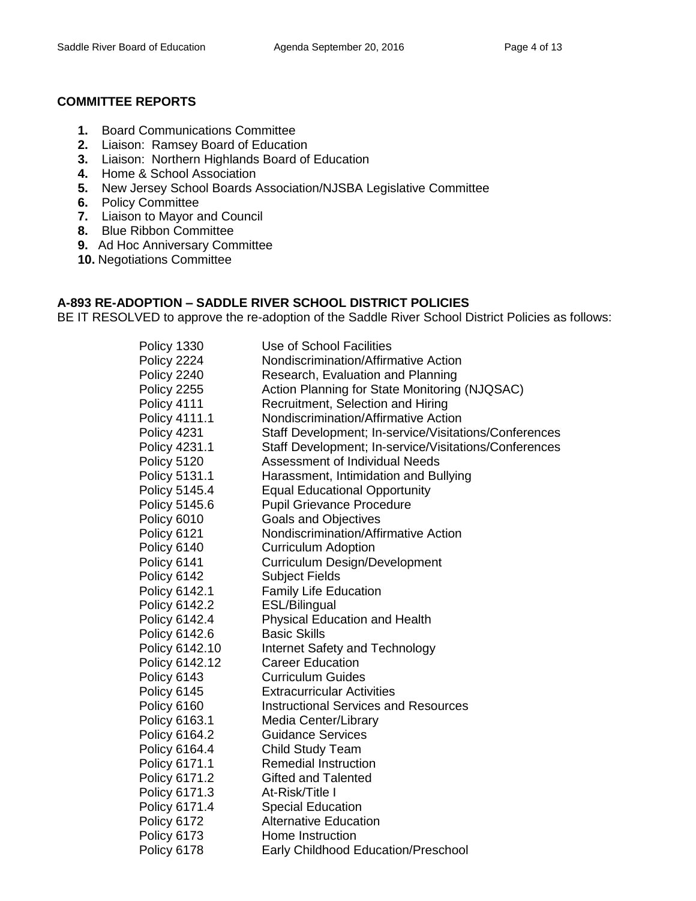# **COMMITTEE REPORTS**

- **1.** Board Communications Committee
- **2.** Liaison: Ramsey Board of Education
- **3.** Liaison: Northern Highlands Board of Education
- **4.** Home & School Association
- **5.** New Jersey School Boards Association/NJSBA Legislative Committee
- **6.** Policy Committee
- **7.** Liaison to Mayor and Council
- **8.** Blue Ribbon Committee
- **9.** Ad Hoc Anniversary Committee
- **10.** Negotiations Committee

# **A-893 RE-ADOPTION – SADDLE RIVER SCHOOL DISTRICT POLICIES**

BE IT RESOLVED to approve the re-adoption of the Saddle River School District Policies as follows:

| Policy 1330    | Use of School Facilities                              |
|----------------|-------------------------------------------------------|
| Policy 2224    | Nondiscrimination/Affirmative Action                  |
| Policy 2240    | Research, Evaluation and Planning                     |
| Policy 2255    | Action Planning for State Monitoring (NJQSAC)         |
| Policy 4111    | Recruitment, Selection and Hiring                     |
| Policy 4111.1  | Nondiscrimination/Affirmative Action                  |
| Policy 4231    | Staff Development; In-service/Visitations/Conferences |
| Policy 4231.1  | Staff Development; In-service/Visitations/Conferences |
| Policy 5120    | Assessment of Individual Needs                        |
| Policy 5131.1  | Harassment, Intimidation and Bullying                 |
| Policy 5145.4  | <b>Equal Educational Opportunity</b>                  |
| Policy 5145.6  | <b>Pupil Grievance Procedure</b>                      |
| Policy 6010    | <b>Goals and Objectives</b>                           |
| Policy 6121    | Nondiscrimination/Affirmative Action                  |
| Policy 6140    | <b>Curriculum Adoption</b>                            |
| Policy 6141    | Curriculum Design/Development                         |
| Policy 6142    | <b>Subject Fields</b>                                 |
| Policy 6142.1  | <b>Family Life Education</b>                          |
| Policy 6142.2  | ESL/Bilingual                                         |
| Policy 6142.4  | Physical Education and Health                         |
| Policy 6142.6  | <b>Basic Skills</b>                                   |
| Policy 6142.10 | Internet Safety and Technology                        |
| Policy 6142.12 | <b>Career Education</b>                               |
| Policy 6143    | <b>Curriculum Guides</b>                              |
| Policy 6145    | <b>Extracurricular Activities</b>                     |
| Policy 6160    | <b>Instructional Services and Resources</b>           |
| Policy 6163.1  | Media Center/Library                                  |
| Policy 6164.2  | <b>Guidance Services</b>                              |
| Policy 6164.4  | <b>Child Study Team</b>                               |
| Policy 6171.1  | <b>Remedial Instruction</b>                           |
| Policy 6171.2  | <b>Gifted and Talented</b>                            |
| Policy 6171.3  | At-Risk/Title I                                       |
| Policy 6171.4  | <b>Special Education</b>                              |
| Policy 6172    | <b>Alternative Education</b>                          |
| Policy 6173    | Home Instruction                                      |
| Policy 6178    | <b>Early Childhood Education/Preschool</b>            |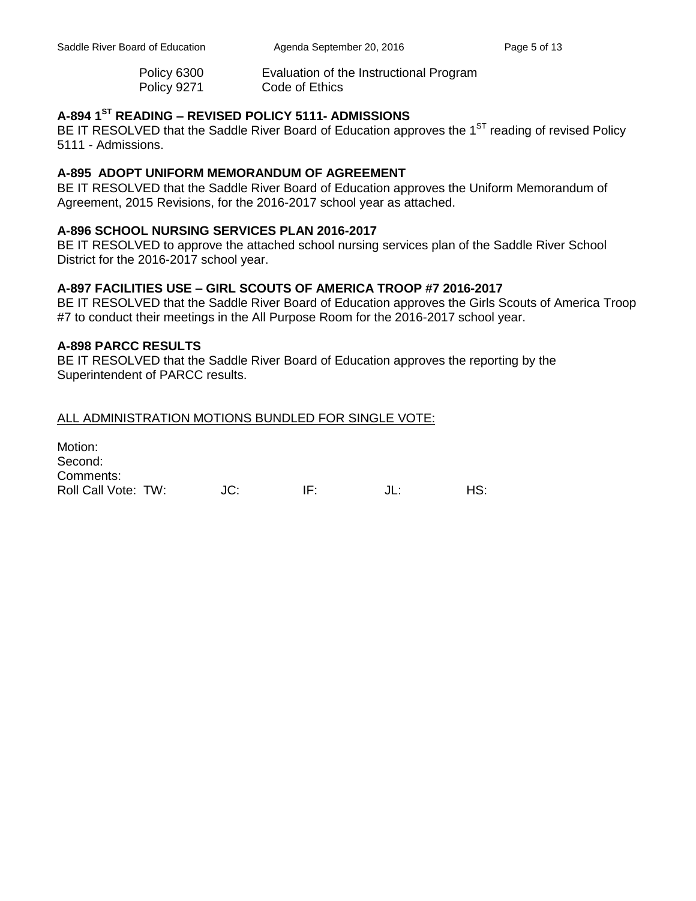Policy 6300 Evaluation of the Instructional Program Policy 9271 Code of Ethics

# **A-894 1ST READING – REVISED POLICY 5111- ADMISSIONS**

BE IT RESOLVED that the Saddle River Board of Education approves the  $1<sup>ST</sup>$  reading of revised Policy 5111 - Admissions.

### **A-895 ADOPT UNIFORM MEMORANDUM OF AGREEMENT**

BE IT RESOLVED that the Saddle River Board of Education approves the Uniform Memorandum of Agreement, 2015 Revisions, for the 2016-2017 school year as attached.

### **A-896 SCHOOL NURSING SERVICES PLAN 2016-2017**

BE IT RESOLVED to approve the attached school nursing services plan of the Saddle River School District for the 2016-2017 school year.

### **A-897 FACILITIES USE – GIRL SCOUTS OF AMERICA TROOP #7 2016-2017**

BE IT RESOLVED that the Saddle River Board of Education approves the Girls Scouts of America Troop #7 to conduct their meetings in the All Purpose Room for the 2016-2017 school year.

#### **A-898 PARCC RESULTS**

BE IT RESOLVED that the Saddle River Board of Education approves the reporting by the Superintendent of PARCC results.

### ALL ADMINISTRATION MOTIONS BUNDLED FOR SINGLE VOTE:

Motion: Second: Comments: Roll Call Vote: TW:  $JC$ : IF:  $JL$ : HS: HS: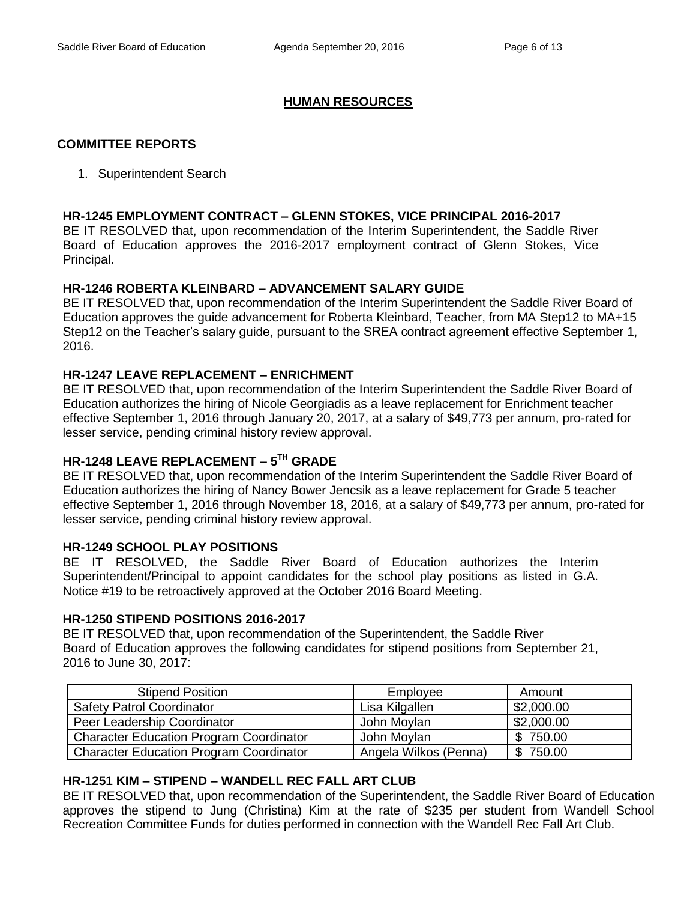# **HUMAN RESOURCES**

# **COMMITTEE REPORTS**

1. Superintendent Search

### **HR-1245 EMPLOYMENT CONTRACT – GLENN STOKES, VICE PRINCIPAL 2016-2017**

BE IT RESOLVED that, upon recommendation of the Interim Superintendent, the Saddle River Board of Education approves the 2016-2017 employment contract of Glenn Stokes, Vice Principal.

# **HR-1246 ROBERTA KLEINBARD – ADVANCEMENT SALARY GUIDE**

BE IT RESOLVED that, upon recommendation of the Interim Superintendent the Saddle River Board of Education approves the guide advancement for Roberta Kleinbard, Teacher, from MA Step12 to MA+15 Step12 on the Teacher's salary guide, pursuant to the SREA contract agreement effective September 1, 2016.

# **HR-1247 LEAVE REPLACEMENT – ENRICHMENT**

BE IT RESOLVED that, upon recommendation of the Interim Superintendent the Saddle River Board of Education authorizes the hiring of Nicole Georgiadis as a leave replacement for Enrichment teacher effective September 1, 2016 through January 20, 2017, at a salary of \$49,773 per annum, pro-rated for lesser service, pending criminal history review approval.

# **HR-1248 LEAVE REPLACEMENT – 5 TH GRADE**

BE IT RESOLVED that, upon recommendation of the Interim Superintendent the Saddle River Board of Education authorizes the hiring of Nancy Bower Jencsik as a leave replacement for Grade 5 teacher effective September 1, 2016 through November 18, 2016, at a salary of \$49,773 per annum, pro-rated for lesser service, pending criminal history review approval.

# **HR-1249 SCHOOL PLAY POSITIONS**

BE IT RESOLVED, the Saddle River Board of Education authorizes the Interim Superintendent/Principal to appoint candidates for the school play positions as listed in G.A. Notice #19 to be retroactively approved at the October 2016 Board Meeting.

#### **HR-1250 STIPEND POSITIONS 2016-2017**

BE IT RESOLVED that, upon recommendation of the Superintendent, the Saddle River Board of Education approves the following candidates for stipend positions from September 21, 2016 to June 30, 2017:

| <b>Stipend Position</b>                        | Employee              | Amount     |
|------------------------------------------------|-----------------------|------------|
| <b>Safety Patrol Coordinator</b>               | Lisa Kilgallen        | \$2,000.00 |
| Peer Leadership Coordinator                    | John Moylan           | \$2,000.00 |
| <b>Character Education Program Coordinator</b> | John Moylan           | \$750.00   |
| <b>Character Education Program Coordinator</b> | Angela Wilkos (Penna) | \$750.00   |

# **HR-1251 KIM – STIPEND – WANDELL REC FALL ART CLUB**

BE IT RESOLVED that, upon recommendation of the Superintendent, the Saddle River Board of Education approves the stipend to Jung (Christina) Kim at the rate of \$235 per student from Wandell School Recreation Committee Funds for duties performed in connection with the Wandell Rec Fall Art Club.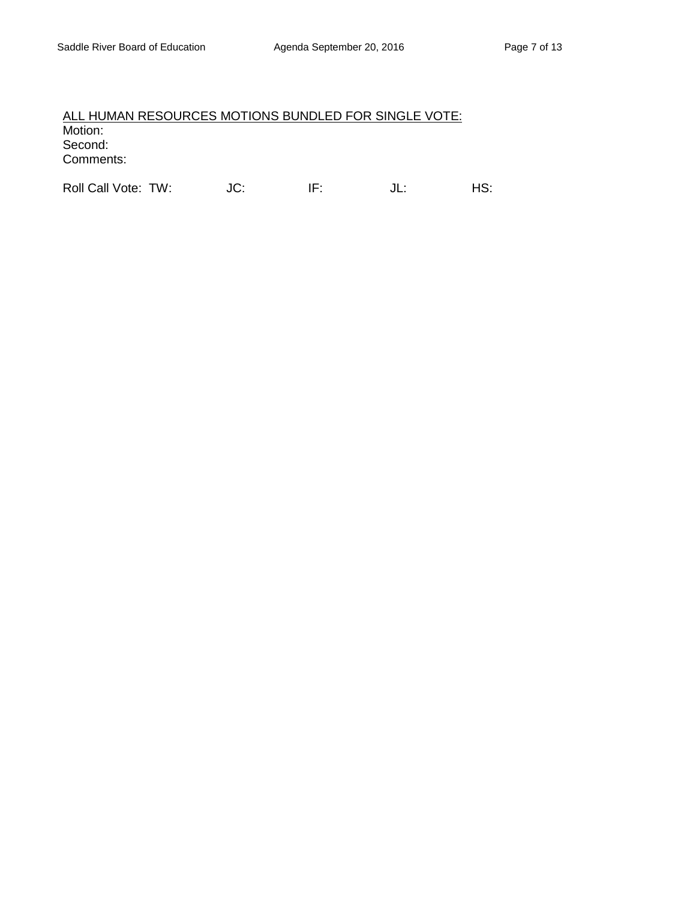# ALL HUMAN RESOURCES MOTIONS BUNDLED FOR SINGLE VOTE: Motion: Second: Comments:

Roll Call Vote: TW: JC: IF: JL: HS: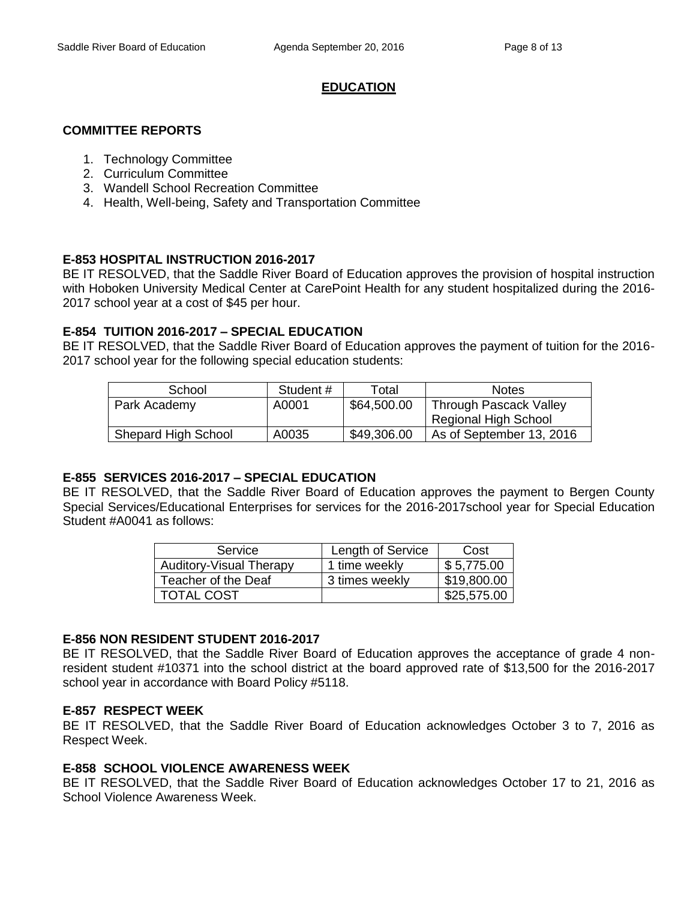# **EDUCATION**

### **COMMITTEE REPORTS**

- 1. Technology Committee
- 2. Curriculum Committee
- 3. Wandell School Recreation Committee
- 4. Health, Well-being, Safety and Transportation Committee

# **E-853 HOSPITAL INSTRUCTION 2016-2017**

BE IT RESOLVED, that the Saddle River Board of Education approves the provision of hospital instruction with Hoboken University Medical Center at CarePoint Health for any student hospitalized during the 2016- 2017 school year at a cost of \$45 per hour.

### **E-854 TUITION 2016-2017 – SPECIAL EDUCATION**

BE IT RESOLVED, that the Saddle River Board of Education approves the payment of tuition for the 2016- 2017 school year for the following special education students:

| School              | Student # | Total       | <b>Notes</b>                |
|---------------------|-----------|-------------|-----------------------------|
| Park Academy        | A0001     | \$64,500.00 | Through Pascack Valley      |
|                     |           |             | <b>Regional High School</b> |
| Shepard High School | A0035     | \$49,306.00 | As of September 13, 2016    |

#### **E-855 SERVICES 2016-2017 – SPECIAL EDUCATION**

BE IT RESOLVED, that the Saddle River Board of Education approves the payment to Bergen County Special Services/Educational Enterprises for services for the 2016-2017school year for Special Education Student #A0041 as follows:

| Service                        | Length of Service | Cost        |
|--------------------------------|-------------------|-------------|
| <b>Auditory-Visual Therapy</b> | 1 time weekly     | \$5,775.00  |
| Teacher of the Deaf            | 3 times weekly    | \$19,800.00 |
| <b>TOTAL COST</b>              |                   | \$25,575.00 |

### **E-856 NON RESIDENT STUDENT 2016-2017**

BE IT RESOLVED, that the Saddle River Board of Education approves the acceptance of grade 4 nonresident student #10371 into the school district at the board approved rate of \$13,500 for the 2016-2017 school year in accordance with Board Policy #5118.

#### **E-857 RESPECT WEEK**

BE IT RESOLVED, that the Saddle River Board of Education acknowledges October 3 to 7, 2016 as Respect Week.

#### **E-858 SCHOOL VIOLENCE AWARENESS WEEK**

BE IT RESOLVED, that the Saddle River Board of Education acknowledges October 17 to 21, 2016 as School Violence Awareness Week.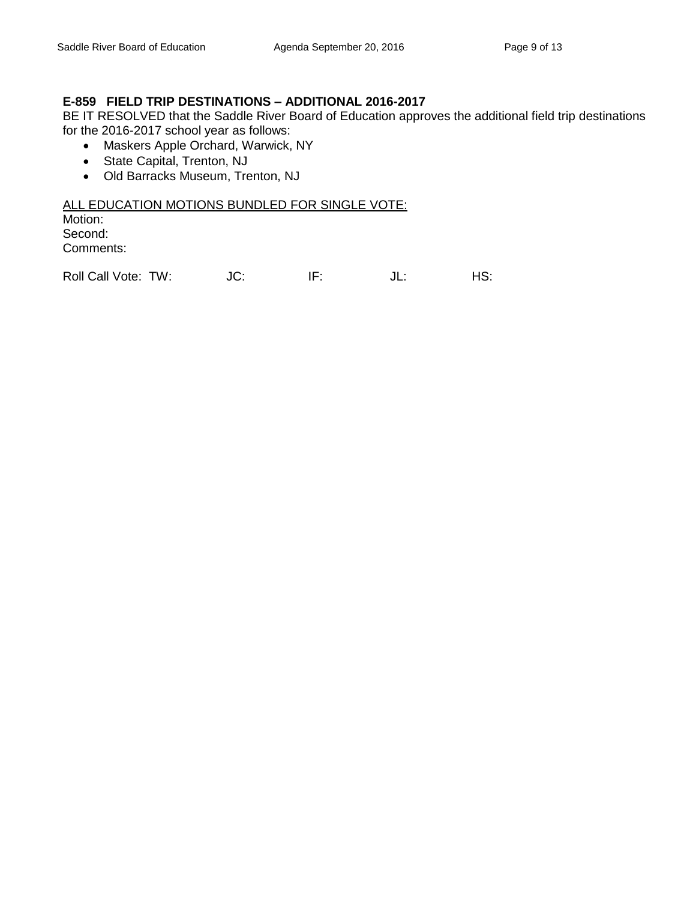# **E-859 FIELD TRIP DESTINATIONS – ADDITIONAL 2016-2017**

BE IT RESOLVED that the Saddle River Board of Education approves the additional field trip destinations for the 2016-2017 school year as follows:

- Maskers Apple Orchard, Warwick, NY
- State Capital, Trenton, NJ
- Old Barracks Museum, Trenton, NJ

#### ALL EDUCATION MOTIONS BUNDLED FOR SINGLE VOTE:

Motion: Second: Comments:

Roll Call Vote: TW:  $JC:$  IF:  $JL:$  HS: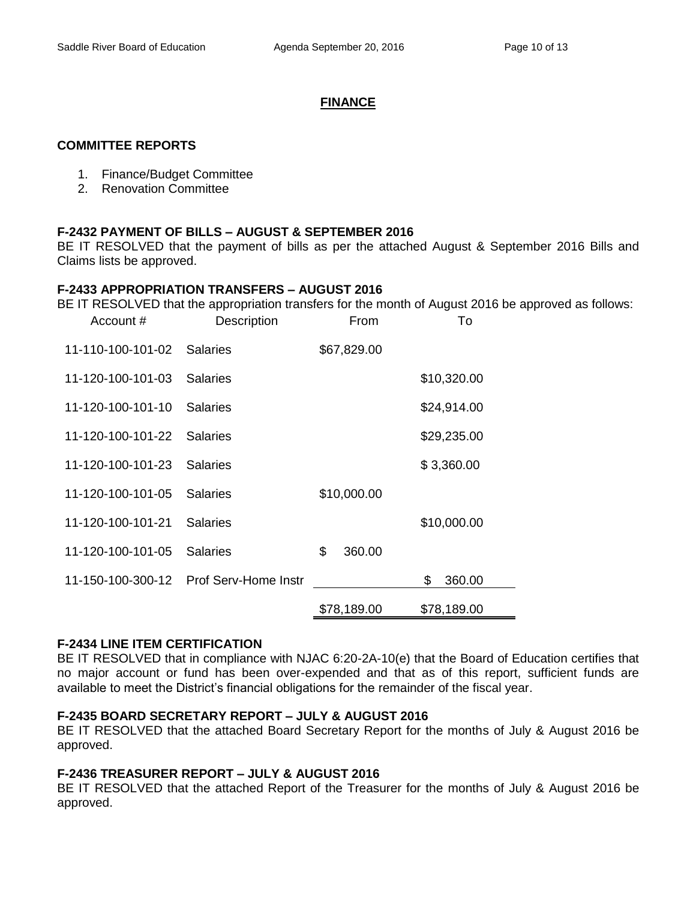# **FINANCE**

### **COMMITTEE REPORTS**

- 1. Finance/Budget Committee
- 2. Renovation Committee

# **F-2432 PAYMENT OF BILLS – AUGUST & SEPTEMBER 2016**

BE IT RESOLVED that the payment of bills as per the attached August & September 2016 Bills and Claims lists be approved.

### **F-2433 APPROPRIATION TRANSFERS – AUGUST 2016**

BE IT RESOLVED that the appropriation transfers for the month of August 2016 be approved as follows:

| Account #         | Description                 | From         | To           |
|-------------------|-----------------------------|--------------|--------------|
| 11-110-100-101-02 | <b>Salaries</b>             | \$67,829.00  |              |
| 11-120-100-101-03 | <b>Salaries</b>             |              | \$10,320.00  |
| 11-120-100-101-10 | <b>Salaries</b>             |              | \$24,914.00  |
| 11-120-100-101-22 | Salaries                    |              | \$29,235.00  |
| 11-120-100-101-23 | <b>Salaries</b>             |              | \$3,360.00   |
| 11-120-100-101-05 | <b>Salaries</b>             | \$10,000.00  |              |
| 11-120-100-101-21 | <b>Salaries</b>             |              | \$10,000.00  |
| 11-120-100-101-05 | <b>Salaries</b>             | \$<br>360.00 |              |
| 11-150-100-300-12 | <b>Prof Serv-Home Instr</b> |              | \$<br>360.00 |
|                   |                             | \$78,189.00  | \$78,189.00  |

#### **F-2434 LINE ITEM CERTIFICATION**

BE IT RESOLVED that in compliance with NJAC 6:20-2A-10(e) that the Board of Education certifies that no major account or fund has been over-expended and that as of this report, sufficient funds are available to meet the District's financial obligations for the remainder of the fiscal year.

# **F-2435 BOARD SECRETARY REPORT – JULY & AUGUST 2016**

BE IT RESOLVED that the attached Board Secretary Report for the months of July & August 2016 be approved.

# **F-2436 TREASURER REPORT – JULY & AUGUST 2016**

BE IT RESOLVED that the attached Report of the Treasurer for the months of July & August 2016 be approved.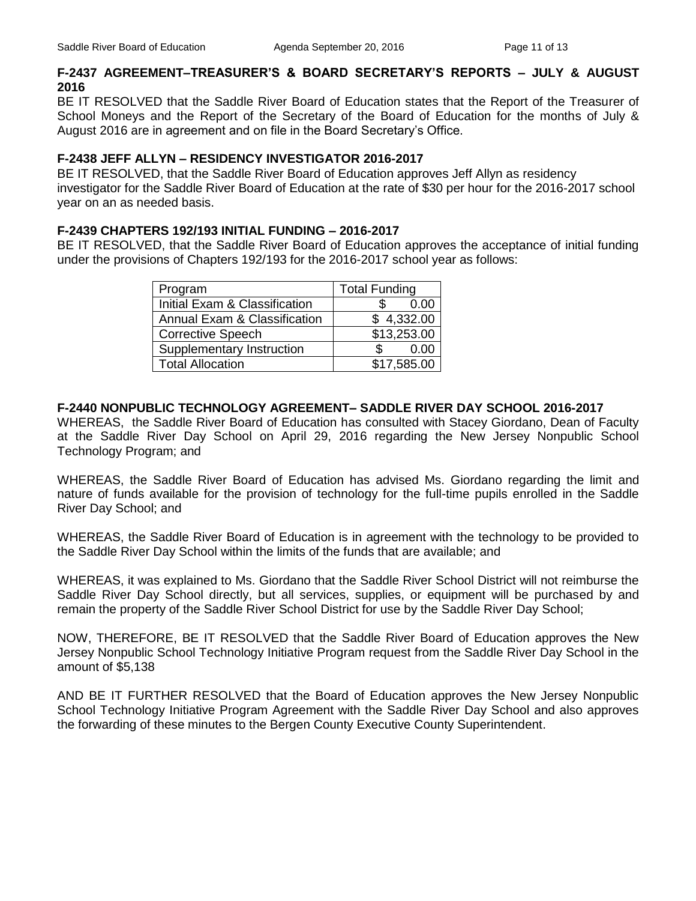# **F-2437 AGREEMENT–TREASURER'S & BOARD SECRETARY'S REPORTS – JULY & AUGUST 2016**

BE IT RESOLVED that the Saddle River Board of Education states that the Report of the Treasurer of School Moneys and the Report of the Secretary of the Board of Education for the months of July & August 2016 are in agreement and on file in the Board Secretary's Office.

### **F-2438 JEFF ALLYN – RESIDENCY INVESTIGATOR 2016-2017**

BE IT RESOLVED, that the Saddle River Board of Education approves Jeff Allyn as residency investigator for the Saddle River Board of Education at the rate of \$30 per hour for the 2016-2017 school year on an as needed basis.

### **F-2439 CHAPTERS 192/193 INITIAL FUNDING – 2016-2017**

BE IT RESOLVED, that the Saddle River Board of Education approves the acceptance of initial funding under the provisions of Chapters 192/193 for the 2016-2017 school year as follows:

| Program                       | <b>Total Funding</b> |
|-------------------------------|----------------------|
| Initial Exam & Classification | 0.00                 |
| Annual Exam & Classification  | \$4,332.00           |
| <b>Corrective Speech</b>      | \$13,253.00          |
| Supplementary Instruction     | 0.00                 |
| <b>Total Allocation</b>       | \$17,585.00          |

# **F-2440 NONPUBLIC TECHNOLOGY AGREEMENT– SADDLE RIVER DAY SCHOOL 2016-2017**

WHEREAS, the Saddle River Board of Education has consulted with Stacey Giordano, Dean of Faculty at the Saddle River Day School on April 29, 2016 regarding the New Jersey Nonpublic School Technology Program; and

WHEREAS, the Saddle River Board of Education has advised Ms. Giordano regarding the limit and nature of funds available for the provision of technology for the full-time pupils enrolled in the Saddle River Day School; and

WHEREAS, the Saddle River Board of Education is in agreement with the technology to be provided to the Saddle River Day School within the limits of the funds that are available; and

WHEREAS, it was explained to Ms. Giordano that the Saddle River School District will not reimburse the Saddle River Day School directly, but all services, supplies, or equipment will be purchased by and remain the property of the Saddle River School District for use by the Saddle River Day School;

NOW, THEREFORE, BE IT RESOLVED that the Saddle River Board of Education approves the New Jersey Nonpublic School Technology Initiative Program request from the Saddle River Day School in the amount of \$5,138

AND BE IT FURTHER RESOLVED that the Board of Education approves the New Jersey Nonpublic School Technology Initiative Program Agreement with the Saddle River Day School and also approves the forwarding of these minutes to the Bergen County Executive County Superintendent.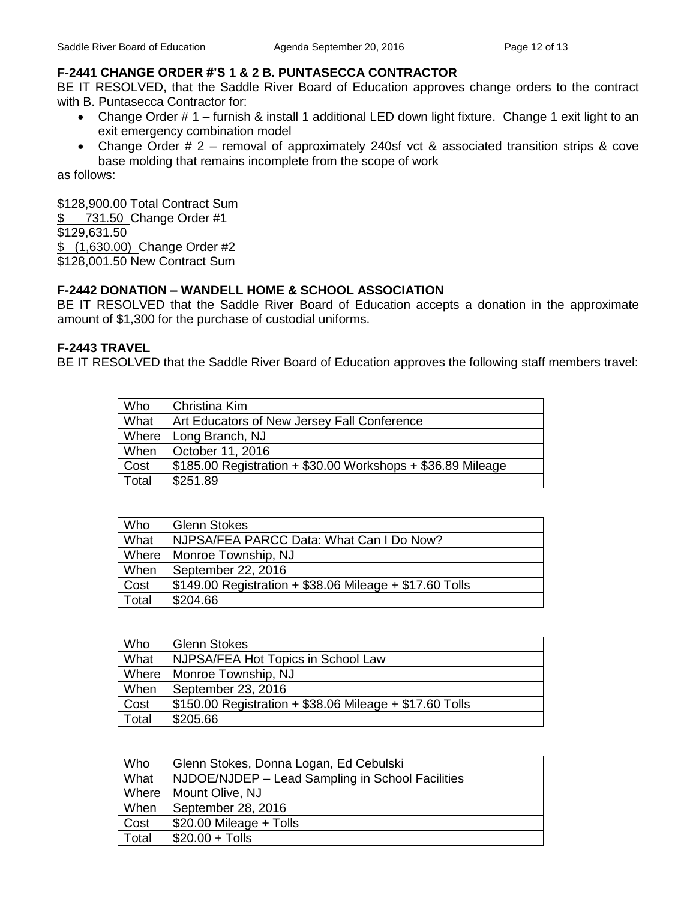# **F-2441 CHANGE ORDER #'S 1 & 2 B. PUNTASECCA CONTRACTOR**

BE IT RESOLVED, that the Saddle River Board of Education approves change orders to the contract with B. Puntasecca Contractor for:

- Change Order # 1 furnish & install 1 additional LED down light fixture. Change 1 exit light to an exit emergency combination model
- Change Order # 2 removal of approximately 240sf vct & associated transition strips & cove base molding that remains incomplete from the scope of work

as follows:

\$128,900.00 Total Contract Sum

\$ 731.50 Change Order #1

\$129,631.50

\$ (1,630.00) Change Order #2

\$128,001.50 New Contract Sum

# **F-2442 DONATION – WANDELL HOME & SCHOOL ASSOCIATION**

BE IT RESOLVED that the Saddle River Board of Education accepts a donation in the approximate amount of \$1,300 for the purchase of custodial uniforms.

# **F-2443 TRAVEL**

BE IT RESOLVED that the Saddle River Board of Education approves the following staff members travel:

| Who   | Christina Kim                                                |
|-------|--------------------------------------------------------------|
| What  | Art Educators of New Jersey Fall Conference                  |
| Where | Long Branch, NJ                                              |
| When  | October 11, 2016                                             |
| Cost  | $$185.00$ Registration + \$30.00 Workshops + \$36.89 Mileage |
| Total | \$251.89                                                     |

| Who   | <b>Glenn Stokes</b>                                     |
|-------|---------------------------------------------------------|
| What  | NJPSA/FEA PARCC Data: What Can I Do Now?                |
| Where | Monroe Township, NJ                                     |
| When  | September 22, 2016                                      |
| Cost  | \$149.00 Registration + \$38.06 Mileage + \$17.60 Tolls |
| Total | \$204.66                                                |

| Who   | <b>Glenn Stokes</b>                                     |
|-------|---------------------------------------------------------|
| What  | NJPSA/FEA Hot Topics in School Law                      |
| Where | Monroe Township, NJ                                     |
| When  | September 23, 2016                                      |
| Cost  | \$150.00 Registration + \$38.06 Mileage + \$17.60 Tolls |
| Total | \$205.66                                                |

| Who   | Glenn Stokes, Donna Logan, Ed Cebulski           |
|-------|--------------------------------------------------|
| What  | NJDOE/NJDEP - Lead Sampling in School Facilities |
| Where | Mount Olive, NJ                                  |
| When  | September 28, 2016                               |
| Cost  | \$20.00 Mileage + Tolls                          |
| Total | $$20.00 + Tolls$                                 |